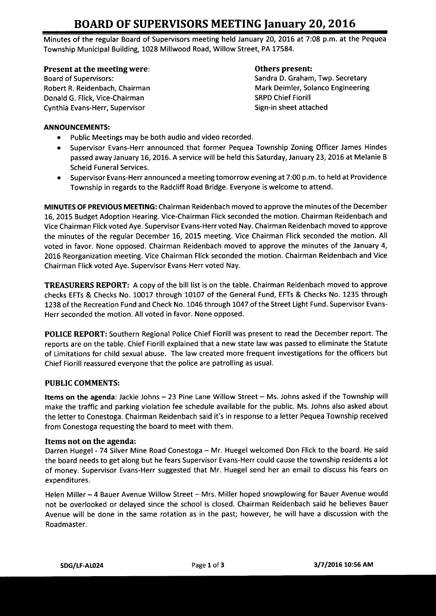# BOARD OF SUPERVISORS MEETING January 20, 2016

Minutes of the regular Board of Supervisors meeting held January 20, 2016 at 7:08 p.m. at the Pequea Township Municipal Building, 1028 Millwood Road, Willow Street, PA 17584.

# Present at the meeting were:<br>
Board of Supervisors:<br>
Sandra D. Graham

Donald G. Flick, Vice-Chairman SRPD Chief Fiorill Cynthia Evans-Herr, Supervisor Supervisor Sign-in sheet attached

Sandra D. Graham, Twp. Secretary Robert R. Reidenbach, Chairman Mark Deimler, Solanco Engineering

## ANNOUNCEMENTS:

- Public Meetings may be both audio and video recorded.  $\bullet$
- Supervisor Evans- Herr announced that former Pequea Township Zoning Officer James Hindes passed away January 16, 2016. A service will be held this Saturday, January 23, 2016 at Melanie <sup>B</sup> Scheid Funeral Services.
- Supervisor Evans- Herr announced <sup>a</sup> meeting tomorrow evening at 7: 00 p. m. to held at Providence Township in regards to the Radcliff Road Bridge. Everyone is welcome to attend.

MINUTES OF PREVIOUS MEETING: Chairman Reidenbach moved to approve the minutes of the December 16, 2015 Budget Adoption Hearing. Vice- Chairman Flick seconded the motion. Chairman Reidenbach and Vice Chairman Flick voted Aye. Supervisor Evans- Herr voted Nay. Chairman Reidenbach moved to approve the minutes of the regular December 16, 2015 meeting. Vice Chairman Flick seconded the motion. All voted in favor. None opposed. Chairman Reidenbach moved to approve the minutes of the January 4, 2016 Reorganization meeting. Vice Chairman Flick seconded the motion. Chairman Reidenbach and Vice Chairman Flick voted Aye. Supervisor Evans- Herr voted Nay.

TREASURERS REPORT: A copy of the bill list is on the table. Chairman Reidenbach moved to approve checks EFTS & Checks No. 10017 through 10107 of the General Fund, EFTs & Checks No. 1235 through 1238 of the Recreation Fund and Check No. 1046 through 1047 of the Street Light Fund. Supervisor Evans-Herr seconded the motion. All voted in favor. None opposed.

POLICE REPORT: Southern Regional Police Chief Fiorill was present to read the December report. The reports are on the table. Chief Fiorill explained that <sup>a</sup> new state law was passed to eliminate the Statute of Limitations for child sexual abuse. The law created more frequent investigations for the officers but Chief Fiorill reassured everyone that the police are patrolling as usual.

#### PUBLIC COMMENTS:

Items on the agenda: Jackie Johns - 23 Pine Lane Willow Street - Ms. Johns asked if the Township will make the traffic and parking violation fee schedule available for the public. Ms. Johns also asked about the letter to Conestoga. Chairman Reidenbach said it' <sup>s</sup> in response to <sup>a</sup> letter Pequea Township received from Conestoga requesting the board to meet with them.

#### Items not on the agenda:

Darren Huegel - 74 Silver Mine Road Conestoga — Mr. Huegel welcomed Don Flick to the board. He said the board needs to get along but he fears Supervisor Evans- Herr could cause the township residents <sup>a</sup> lot of money. Supervisor Evans- Herr suggested that Mr. Huegel send her an email to discuss his fears on expenditures.

Helen Miller—4 Bauer Avenue Willow Street— Mrs. Miller hoped snowplowing for Bauer Avenue would not be overlooked or delayed since the school is closed. Chairman Reidenbach said he believes Bauer Avenue will be done in the same rotation as in the past; however, he will have <sup>a</sup> discussion with the Roadmaster.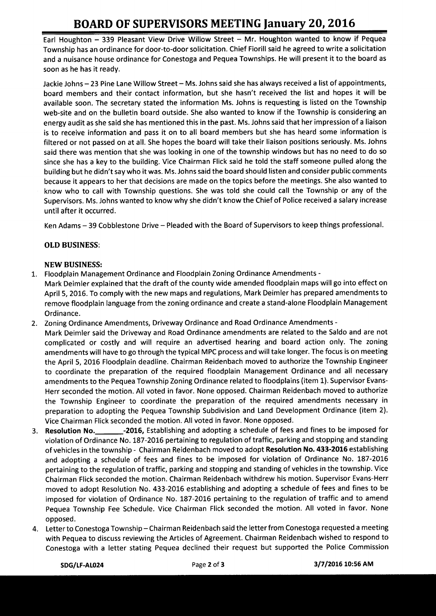# BOARD OF SUPERVISORS MEETING January 20, 2016

Earl Houghton — 339 Pleasant View Drive Willow Street — Mr. Houghton wanted to know if Pequea Township has an ordinance for door-to-door solicitation. Chief Fiorill said he agreed to write <sup>a</sup> solicitation and a nuisance house ordinance for Conestoga and Pequea Townships. He will present it to the board as soon as he has it ready.

Jackie Johns— 23 Pine Lane Willow Street— Ms. Johns said she has always received <sup>a</sup> list of appointments, board members and their contact information, but she hasn't received the list and hopes it will be available soon. The secretary stated the information Ms. Johns is requesting is listed on the Township web-site and on the bulletin board outside. She also wanted to know if the Township is considering an energy audit as she said she has mentioned this in the past. Ms. Johns said that her impression of <sup>a</sup> liaison is to receive information and pass it on to all board members but she has heard some information is filtered or not passed on at all. She hopes the board will take their liaison positions seriously. Ms. Johns said there was mention that she was looking in one of the township windows but has no need to do so since she has a key to the building. Vice Chairman Flick said he told the staff someone pulled along the building but he didn't say who it was. Ms. Johns said the board should listen and consider public comments because it appears to her that decisions are made on the topics before the meetings. She also wanted to know who to call with Township questions. She was told she could call the Township or any of the Supervisors. Ms. Johns wanted to know why she didn't know the Chief of Police received a salary increase until after it occurred.

Ken Adams— 39 Cobblestone Drive— Pleaded with the Board of Supervisors to keep things professional.

# OLD BUSINESS:

### NEW BUSINESS:

- 1. Floodplain Management Ordinance and Floodplain Zoning Ordinance Amendments-
- Mark Deimler explained that the draft of the county wide amended floodplain maps will go into effect on April 5, 2016. To comply with the new maps and regulations, Mark Deimler has prepared amendments to remove floodplain language from the zoning ordinance and create a stand- alone Floodplain Management Ordinance.
- 2. Zoning Ordinance Amendments, Driveway Ordinance and Road Ordinance Amendments-
- Mark Deimler said the Driveway and Road Ordinance amendments are related to the Saldo and are not complicated or costly and will require an advertised hearing and board action only. The zoning amendments will have to go through the typical MPC process and will take longer. The focus is on meeting the April 5, 2016 Floodplain deadline. Chairman Reidenbach moved to authorize the Township Engineer to coordinate the preparation of the required floodplain Management Ordinance and all necessary amendments to the Pequea Township Zoning Ordinance related to floodplains( item 1). Supervisor Evans-Herr seconded the motion. All voted in favor. None opposed. Chairman Reidenbach moved to authorize the Township Engineer to coordinate the preparation of the required amendments necessary in preparation to adopting the Pequea Township Subdivision and Land Development Ordinance (item 2). Vice Chairman Flick seconded the motion. All voted in favor. None opposed.
- 3. Resolution No. 2016, Establishing and adopting <sup>a</sup> schedule of fees and fines to be imposed for violation of Ordinance No. 187-2016 pertaining to regulation of traffic, parking and stopping and standing of vehicles in the township - Chairman Reidenbach moved to adopt Resolution No. 433-2016 establishing and adopting a schedule of fees and fines to be imposed for violation of Ordinance No. 187-2016 pertaining to the regulation of traffic, parking and stopping and standing of vehicles in the township. Vice Chairman Flick seconded the motion. Chairman Reidenbach withdrew his motion. Supervisor Evans- Herr moved to adopt Resolution No. 433- 2016 establishing and adopting <sup>a</sup> schedule of fees and fines to be imposed for violation of Ordinance No. 187-2016 pertaining to the regulation of traffic and to amend Pequea Township Fee Schedule. Vice Chairman Flick seconded the motion. All voted in favor. None opposed.
- 4. Letter to Conestoga Township—Chairman Reidenbach said the letter from Conestoga requested <sup>a</sup> meeting with Pequea to discuss reviewing the Articles of Agreement. Chairman Reidenbach wished to respond to Conestoga with <sup>a</sup> letter stating Pequea declined their request but supported the Police Commission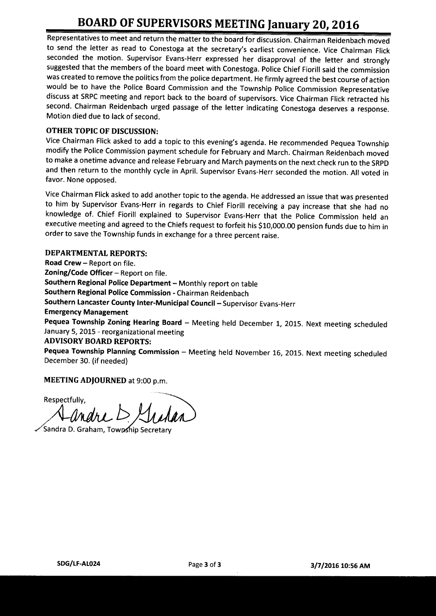# BOARD OF SUPERVISORS MEETING January 20, 2016

Representatives to meet and return the matter to the board for discussion. Chairman Reidenbach moved to send the letter as read to Conestoga at the secretary's earliest convenience. Vice Chairman Flick seconded the motion. Supervisor Evans-Herr expressed her disapproval of the letter and strongly suggested that the members of the board meet with Conestoga. Police Chief Fiorill said the commission was created to remove the politics from the police department. He firmly agreed the best course of action would be to have the Police Board Commission and the Township Police Commission Representative discuss at SRPC meeting and report back to the board of supervisors. Vice Chairman Flick retracted his second. Chairman Reidenbach urged passage of the letter indicating Conestoga deserves <sup>a</sup> response. Motion died due to lack of second.

# OTHER TOPIC OF DISCUSSION:

Vice Chairman Flick asked to add a topic to this evening's agenda. He recommended Pequea Township modify the Police Commission payment schedule for February and March. Chairman Reidenbach moved to make a onetime advance and release February and March payments on the next check run to the SRPD and then return to the monthly cycle in April. Supervisor Evans- Herr seconded the motion. All voted in favor. None opposed.

Vice Chairman Flick asked to add another topic to the agenda. He addressed an issue that was presented to him by Supervisor Evans-Herr in regards to Chief Fiorill receiving a pay increase that she had no knowledge of. Chief Fiorill explained to Supervisor Evans- Herr that the Police Commission held an executive meeting and agreed to the Chiefs request to forfeit his \$10,000.00 pension funds due to him in order to save the Township funds in exchange for <sup>a</sup> three percent raise.

# DEPARTMENTAL REPORTS:

Road Crew— Report on file. Zoning/Code Officer  $-$  Report on file. Southern Regional Police Department—Monthly report on table Southern Regional Police Commission- Chairman Reidenbach Southern Lancaster County Inter-Municipal Council—Supervisor Evans- Herr Emergency Management Pequea Township Zoning Hearing Board — Meeting held December 1, 2015. Next meeting scheduled January 5, 2015 - reorganizational meeting ADVISORY BOARD REPORTS: Pequea Township Planning Commission — Meeting held November 16, 2015. Next meeting scheduled December 30. (if needed)

MEETING ADJOURNED at 9:00 p.m.

Respectfully,  $L$ andre  $D$ 

Sandra D. Graham, Township Secretar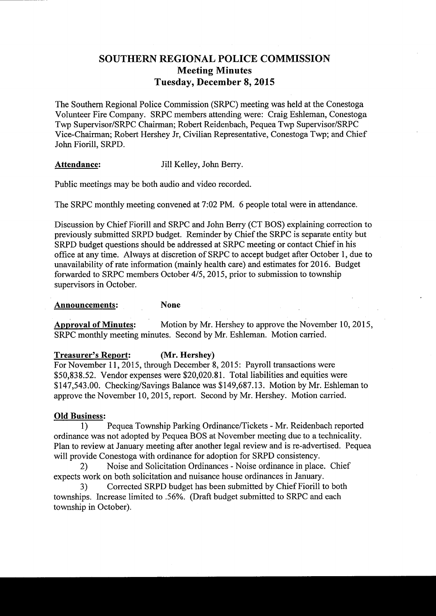# SOUTHERN REGIONAL POLICE COMMISSION Meeting Minutes Tuesday, December 8, 2015

The Southern Regional Police Commission (SRPC) meeting was held at the Conestoga Volunteer Fire Company. SRPC members attending were: Craig Eshleman, Conestoga Twp Supervisor/SRPC Chairman; Robert Reidenbach, Pequea Twp Supervisor/SRPC Vice-Chairman; Robert Hershey Jr, Civilian Representative, Conestoga Twp; and Chief John Fiorill, SRPD.

## Attendance: Jill Kelley, John Berry.

Public meetings may be both audio and video recorded.

The SRPC monthly meeting convened at 7:02 PM. 6 people total were in attendance.

Discussion by Chief Fiorill and SRPC and John Berry (CT BOS) explaining correction to previously submitted SRPD budget. Reminder by Chief the SRPC is separate entity but SRPD budget questions should be addressed at SRPC meeting or contact Chief in his office at any time. Always at discretion of SRPC to accept budget after October 1, due to unavailability of rate information( mainly health care) and estimates for 2016. Budget forwarded to SRPC members October 4/5, 2015, prior to submission to township supervisors in October.

#### Announcements: None

Approval of Minutes: Motion by Mr. Hershey to approve the November 10, 2015, SRPC monthly meeting minutes. Second by Mr. Eshleman. Motion carried.

#### Treasurer's Report: (Mr. Hershey)

For November 11, 2015, through December 8, 2015: Payroll transactions were 50, 838. 52. Vendor expenses were \$20,020. 81. Total liabilities and equities were 147, 543. 00. Checking/Savings Balance was \$ 149, 687. 13. Motion by Mr. Eshleman to approve the November 10, 2015, report. Second by Mr. Hershey. Motion carried.

#### Old Business:

1) Pequea Township Parking Ordinance/Tickets - Mr. Reidenbach reported ordinance was not adopted by Pequea BOS at November meeting due to a technicality. Plan to review at January meeting after another legal review and is re-advertised. Pequea will provide Conestoga with ordinance for adoption for SRPD consistency.

2) Noise and Solicitation Ordinances - Noise ordinance in place. Chief expects work on both solicitation and nuisance house ordinances in January.

3) Corrected SRPD budget has been submitted by Chief Fiorill to both townships. Increase limited to . 56%. ( Draft budget submitted to SRPC and each township in October).